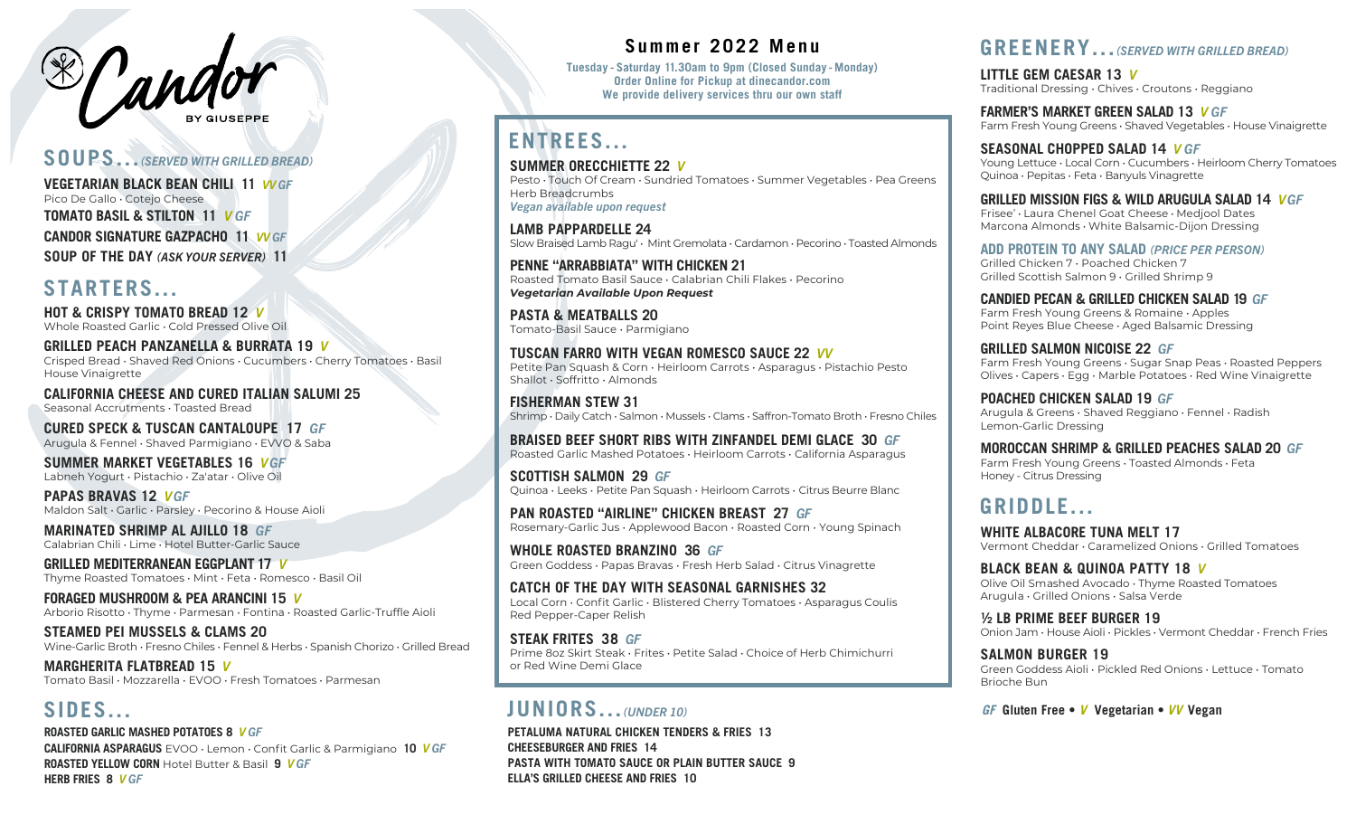

#### **SOUPS...** *(SERVED WITH GRILLED BREAD)*

**VEGETARIAN BLACK BEAN CHILI 11** *VV GF* Pico De Gallo • Cotejo Cheese **TOMATO BASIL & STILTON 11** *V GF* **CANDOR SIGNATURE GAZPACHO 11** *VV GF* **SOUP OF THE DAY** *(ASK YOUR SERVER)* **11**

### **STARTERS...**

**HOT & CRISPY TOMATO BREAD 12** *V*  Whole Roasted Garlic • Cold Pressed Olive Oil

**GRILLED PEACH PANZANELLA & BURRATA 19** *V*  Crisped Bread • Shaved Red Onions • Cucumbers • Cherry Tomatoes • Basil House Vinaigrette

**CALIFORNIA CHEESE AND CURED ITALIAN SALUMI 25** Seasonal Accrutments • Toasted Bread

**CURED SPECK & TUSCAN CANTALOUPE 17** *GF* Arugula & Fennel • Shaved Parmigiano • EVVO & Saba

**SUMMER MARKET VEGETABLES 16** *VGF* Labneh Yogurt • Pistachio • Za'atar • Olive Oil

**PAPAS BRAVAS 12** *VGF* Maldon Salt • Garlic • Parsley • Pecorino & House Aioli

**MARINATED SHRIMP AL AJILLO 18** *GF* Calabrian Chili • Lime • Hotel Butter-Garlic Sauce

**GRILLED MEDITERRANEAN EGGPLANT 17** *V* Thyme Roasted Tomatoes • Mint • Feta • Romesco • Basil Oil

**FORAGED MUSHROOM & PEA ARANCINI 15** *V* Arborio Risotto • Thyme • Parmesan • Fontina • Roasted Garlic-Truffle Aioli

**STEAMED PEI MUSSELS & CLAMS 20** Wine-Garlic Broth • Fresno Chiles • Fennel & Herbs • Spanish Chorizo • Grilled Bread

**MARGHERITA FLATBREAD 15** *V*  Tomato Basil • Mozzarella • EVOO • Fresh Tomatoes • Parmesan

### **SIDES...**

**ROASTED GARLIC MASHED POTATOES 8** *V GF* **CALIFORNIA ASPARAGUS** EVOO • Lemon • Confit Garlic & Parmigiano **10** *V GF* **ROASTED YELLOW CORN** Hotel Butter & Basil **9** *V GF* **HERB FRIES 8** *V GF*

#### **Summer 2022 Menu**

**Tuesday - Saturday 11.30am to 9pm (Closed Sunday - Monday) Order Online for Pickup at dinecandor.com We provide delivery services thru our own staff**

# **ENTREES...**

**SUMMER ORECCHIETTE 22** *V* Pesto • Touch Of Cream • Sundried Tomatoes • Summer Vegetables • Pea Greens Herb Breadcrumbs *Vegan available upon request*

**LAMB PAPPARDELLE 24** Slow Braised Lamb Ragu' • Mint Gremolata • Cardamon • Pecorino • Toasted Almonds

**PENNE "ARRABBIATA" WITH CHICKEN 21** Roasted Tomato Basil Sauce • Calabrian Chili Flakes • Pecorino *Vegetarian Available Upon Request*

**PASTA & MEATBALLS 20** Tomato-Basil Sauce • Parmigiano

**TUSCAN FARRO WITH VEGAN ROMESCO SAUCE 22** *VV* Petite Pan Squash & Corn • Heirloom Carrots • Asparagus • Pistachio Pesto Shallot • Soffritto • Almonds

**FISHERMAN STEW 31** Shrimp • Daily Catch • Salmon • Mussels • Clams • Saffron-Tomato Broth • Fresno Chiles

**BRAISED BEEF SHORT RIBS WITH ZINFANDEL DEMI GLACE 30** *GF* Roasted Garlic Mashed Potatoes • Heirloom Carrots • California Asparagus

**SCOTTISH SALMON 29** *GF* Quinoa • Leeks • Petite Pan Squash • Heirloom Carrots • Citrus Beurre Blanc

**PAN ROASTED "AIRLINE" CHICKEN BREAST 27** *GF* Rosemary-Garlic Jus • Applewood Bacon • Roasted Corn • Young Spinach

**WHOLE ROASTED BRANZINO 36** *GF* Green Goddess • Papas Bravas • Fresh Herb Salad • Citrus Vinagrette

**CATCH OF THE DAY WITH SEASONAL GARNISHES 32** Local Corn • Confit Garlic • Blistered Cherry Tomatoes • Asparagus Coulis Red Pepper-Caper Relish

**STEAK FRITES 38** *GF* Prime 8oz Skirt Steak • Frites • Petite Salad • Choice of Herb Chimichurri or Red Wine Demi Glace

### **JUNIORS...** *(UNDER 10)*

**PETALUMA NATURAL CHICKEN TENDERS & FRIES 13 CHEESEBURGER AND FRIES 14 PASTA WITH TOMATO SAUCE OR PLAIN BUTTER SAUCE 9 ELLA'S GRILLED CHEESE AND FRIES 10**

#### **GREENERY...** *(SERVED WITH GRILLED BREAD)*

**LITTLE GEM CAESAR 13** *V*  Traditional Dressing • Chives • Croutons • Reggiano

**FARMER'S MARKET GREEN SALAD 13** *V GF* Farm Fresh Young Greens • Shaved Vegetables • House Vinaigrette

**SEASONAL CHOPPED SALAD 14** *V GF* Young Lettuce • Local Corn • Cucumbers • Heirloom Cherry Tomatoes Quinoa • Pepitas • Feta • Banyuls Vinagrette

**GRILLED MISSION FIGS & WILD ARUGULA SALAD 14** *VGF*

Frisee' • Laura Chenel Goat Cheese • Medjool Dates Marcona Almonds • White Balsamic-Dijon Dressing

**ADD PROTEIN TO ANY SALAD** *(PRICE PER PERSON)*

Grilled Chicken 7 • Poached Chicken 7 Grilled Scottish Salmon 9 • Grilled Shrimp 9

**CANDIED PECAN & GRILLED CHICKEN SALAD 19** *GF* Farm Fresh Young Greens & Romaine • Apples Point Reyes Blue Cheese • Aged Balsamic Dressing

**GRILLED SALMON NICOISE 22** *GF* Farm Fresh Young Greens • Sugar Snap Peas • Roasted Peppers Olives • Capers • Egg • Marble Potatoes • Red Wine Vinaigrette

**POACHED CHICKEN SALAD 19** *GF* Arugula & Greens • Shaved Reggiano • Fennel • Radish Lemon-Garlic Dressing

**MOROCCAN SHRIMP & GRILLED PEACHES SALAD 20** *GF* Farm Fresh Young Greens • Toasted Almonds • Feta Honey - Citrus Dressing

## **GRIDDLE...**

**WHITE ALBACORE TUNA MELT 17** Vermont Cheddar • Caramelized Onions • Grilled Tomatoes

**BLACK BEAN & QUINOA PATTY 18** *V* Olive Oil Smashed Avocado • Thyme Roasted Tomatoes Arugula • Grilled Onions • Salsa Verde

**½ LB PRIME BEEF BURGER 19** Onion Jam • House Aioli • Pickles • Vermont Cheddar • French Fries

**SALMON BURGER 19** Green Goddess Aioli • Pickled Red Onions • Lettuce • Tomato Brioche Bun

**GF Gluten Free • V Vegetarian • VV Vegan**